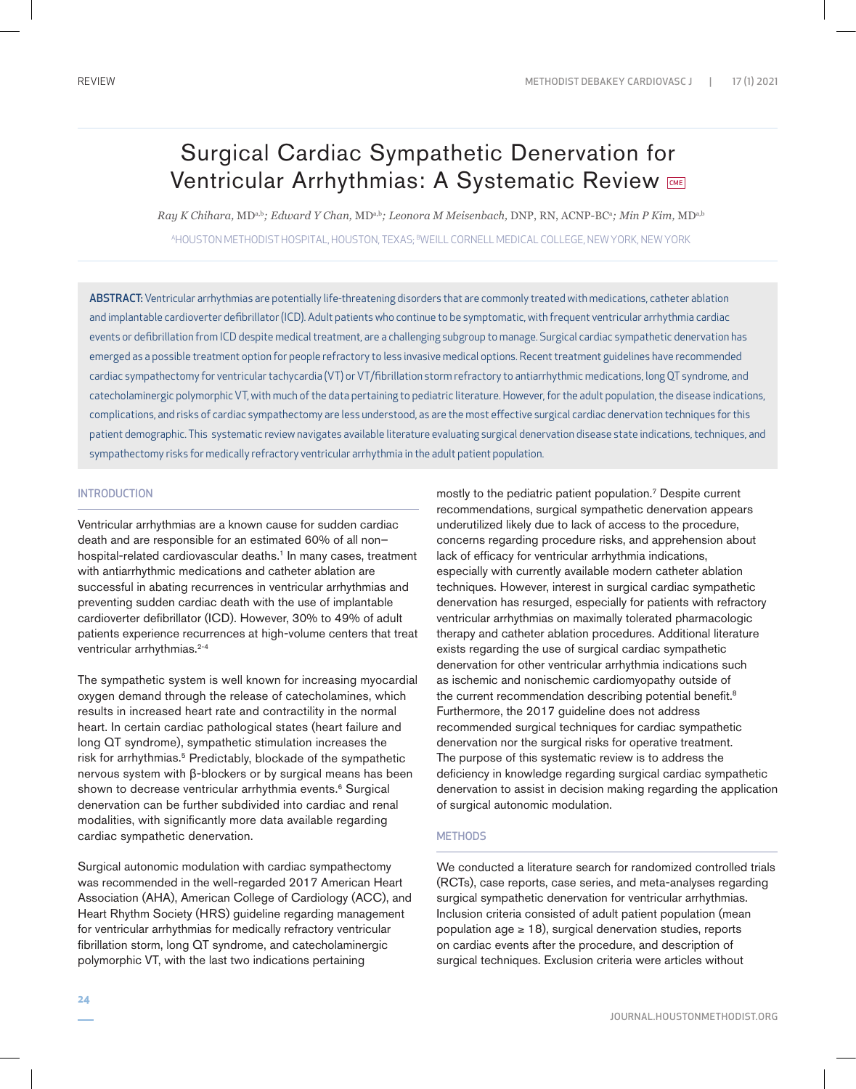# Surgical Cardiac Sympathetic Denervation for Ventricular Arrhythmias: A Systematic Review

*Ray K Chihara,* MDa,b*; Edward Y Chan,* MDa,b*; Leonora M Meisenbach,* DNP, RN, ACNP-BC<sup>a</sup> *; Min P Kim,* MDa,b <sup>A</sup>HOUSTON METHODIST HOSPITAL, HOUSTON, TEXAS; <sup>B</sup>WEILL CORNELL MEDICAL COLLEGE, NEW YORK, NEW YORK

ABSTRACT: Ventricular arrhythmias are potentially life-threatening disorders that are commonly treated with medications, catheter ablation and implantable cardioverter defibrillator (ICD). Adult patients who continue to be symptomatic, with frequent ventricular arrhythmia cardiac events or defibrillation from ICD despite medical treatment, are a challenging subgroup to manage. Surgical cardiac sympathetic denervation has emerged as a possible treatment option for people refractory to less invasive medical options. Recent treatment guidelines have recommended cardiac sympathectomy for ventricular tachycardia (VT) or VT/fibrillation storm refractory to antiarrhythmic medications, long QT syndrome, and catecholaminergic polymorphic VT, with much of the data pertaining to pediatric literature. However, for the adult population, the disease indications, complications, and risks of cardiac sympathectomy are less understood, as are the most effective surgical cardiac denervation techniques for this patient demographic. This systematic review navigates available literature evaluating surgical denervation disease state indications, techniques, and sympathectomy risks for medically refractory ventricular arrhythmia in the adult patient population.

# INTRODUCTION

Ventricular arrhythmias are a known cause for sudden cardiac death and are responsible for an estimated 60% of all non– hospital-related cardiovascular deaths.<sup>1</sup> In many cases, treatment with antiarrhythmic medications and catheter ablation are successful in abating recurrences in ventricular arrhythmias and preventing sudden cardiac death with the use of implantable cardioverter defibrillator (ICD). However, 30% to 49% of adult patients experience recurrences at high-volume centers that treat ventricular arrhythmias.<sup>2-4</sup>

The sympathetic system is well known for increasing myocardial oxygen demand through the release of catecholamines, which results in increased heart rate and contractility in the normal heart. In certain cardiac pathological states (heart failure and long QT syndrome), sympathetic stimulation increases the risk for arrhythmias.<sup>5</sup> Predictably, blockade of the sympathetic nervous system with β-blockers or by surgical means has been shown to decrease ventricular arrhythmia events.<sup>6</sup> Surgical denervation can be further subdivided into cardiac and renal modalities, with significantly more data available regarding cardiac sympathetic denervation.

Surgical autonomic modulation with cardiac sympathectomy was recommended in the well-regarded 2017 American Heart Association (AHA), American College of Cardiology (ACC), and Heart Rhythm Society (HRS) guideline regarding management for ventricular arrhythmias for medically refractory ventricular fibrillation storm, long QT syndrome, and catecholaminergic polymorphic VT, with the last two indications pertaining

mostly to the pediatric patient population.7 Despite current recommendations, surgical sympathetic denervation appears underutilized likely due to lack of access to the procedure, concerns regarding procedure risks, and apprehension about lack of efficacy for ventricular arrhythmia indications, especially with currently available modern catheter ablation techniques. However, interest in surgical cardiac sympathetic denervation has resurged, especially for patients with refractory ventricular arrhythmias on maximally tolerated pharmacologic therapy and catheter ablation procedures. Additional literature exists regarding the use of surgical cardiac sympathetic denervation for other ventricular arrhythmia indications such as ischemic and nonischemic cardiomyopathy outside of the current recommendation describing potential benefit.<sup>8</sup> Furthermore, the 2017 guideline does not address recommended surgical techniques for cardiac sympathetic denervation nor the surgical risks for operative treatment. The purpose of this systematic review is to address the deficiency in knowledge regarding surgical cardiac sympathetic denervation to assist in decision making regarding the application of surgical autonomic modulation.

# **METHODS**

We conducted a literature search for randomized controlled trials (RCTs), case reports, case series, and meta-analyses regarding surgical sympathetic denervation for ventricular arrhythmias. Inclusion criteria consisted of adult patient population (mean population age  $\geq$  18), surgical denervation studies, reports on cardiac events after the procedure, and description of surgical techniques. Exclusion criteria were articles without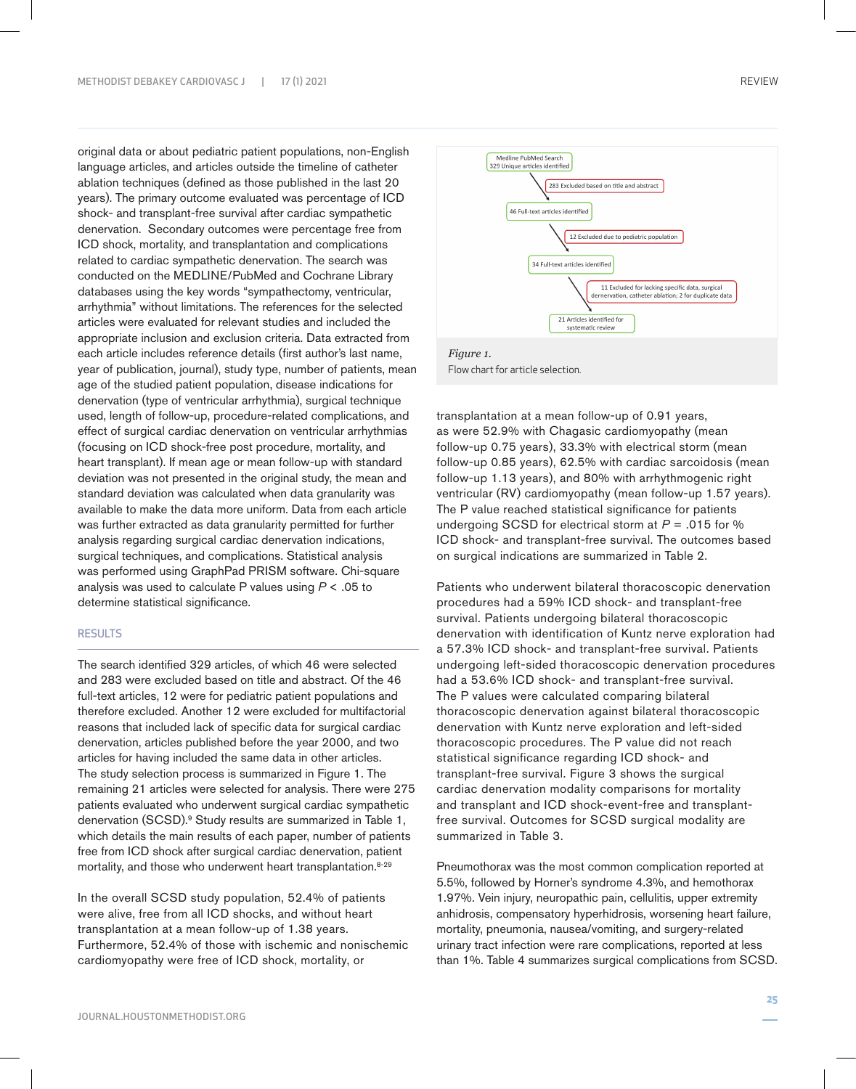original data or about pediatric patient populations, non-English language articles, and articles outside the timeline of catheter ablation techniques (defined as those published in the last 20 years). The primary outcome evaluated was percentage of ICD shock- and transplant-free survival after cardiac sympathetic denervation. Secondary outcomes were percentage free from ICD shock, mortality, and transplantation and complications related to cardiac sympathetic denervation. The search was conducted on the MEDLINE/PubMed and Cochrane Library databases using the key words "sympathectomy, ventricular, arrhythmia" without limitations. The references for the selected articles were evaluated for relevant studies and included the appropriate inclusion and exclusion criteria. Data extracted from each article includes reference details (first author's last name, year of publication, journal), study type, number of patients, mean age of the studied patient population, disease indications for denervation (type of ventricular arrhythmia), surgical technique used, length of follow-up, procedure-related complications, and effect of surgical cardiac denervation on ventricular arrhythmias (focusing on ICD shock-free post procedure, mortality, and heart transplant). If mean age or mean follow-up with standard deviation was not presented in the original study, the mean and standard deviation was calculated when data granularity was available to make the data more uniform. Data from each article was further extracted as data granularity permitted for further analysis regarding surgical cardiac denervation indications, surgical techniques, and complications. Statistical analysis was performed using GraphPad PRISM software. Chi-square analysis was used to calculate P values using *P* < .05 to determine statistical significance.

# **RESULTS**

The search identified 329 articles, of which 46 were selected and 283 were excluded based on title and abstract. Of the 46 full-text articles, 12 were for pediatric patient populations and therefore excluded. Another 12 were excluded for multifactorial reasons that included lack of specific data for surgical cardiac denervation, articles published before the year 2000, and two articles for having included the same data in other articles. The study selection process is summarized in Figure 1. The remaining 21 articles were selected for analysis. There were 275 patients evaluated who underwent surgical cardiac sympathetic denervation (SCSD).9 Study results are summarized in Table 1, which details the main results of each paper, number of patients free from ICD shock after surgical cardiac denervation, patient mortality, and those who underwent heart transplantation.<sup>8-29</sup>

In the overall SCSD study population, 52.4% of patients were alive, free from all ICD shocks, and without heart transplantation at a mean follow-up of 1.38 years. Furthermore, 52.4% of those with ischemic and nonischemic cardiomyopathy were free of ICD shock, mortality, or





transplantation at a mean follow-up of 0.91 years, as were 52.9% with Chagasic cardiomyopathy (mean follow-up 0.75 years), 33.3% with electrical storm (mean follow-up 0.85 years), 62.5% with cardiac sarcoidosis (mean follow-up 1.13 years), and 80% with arrhythmogenic right ventricular (RV) cardiomyopathy (mean follow-up 1.57 years). The P value reached statistical significance for patients undergoing SCSD for electrical storm at *P* = .015 for % ICD shock- and transplant-free survival. The outcomes based on surgical indications are summarized in Table 2.

Patients who underwent bilateral thoracoscopic denervation procedures had a 59% ICD shock- and transplant-free survival. Patients undergoing bilateral thoracoscopic denervation with identification of Kuntz nerve exploration had a 57.3% ICD shock- and transplant-free survival. Patients undergoing left-sided thoracoscopic denervation procedures had a 53.6% ICD shock- and transplant-free survival. The P values were calculated comparing bilateral thoracoscopic denervation against bilateral thoracoscopic denervation with Kuntz nerve exploration and left-sided thoracoscopic procedures. The P value did not reach statistical significance regarding ICD shock- and transplant-free survival. Figure 3 shows the surgical cardiac denervation modality comparisons for mortality and transplant and ICD shock-event-free and transplantfree survival. Outcomes for SCSD surgical modality are summarized in Table 3.

Pneumothorax was the most common complication reported at 5.5%, followed by Horner's syndrome 4.3%, and hemothorax 1.97%. Vein injury, neuropathic pain, cellulitis, upper extremity anhidrosis, compensatory hyperhidrosis, worsening heart failure, mortality, pneumonia, nausea/vomiting, and surgery-related urinary tract infection were rare complications, reported at less than 1%. Table 4 summarizes surgical complications from SCSD.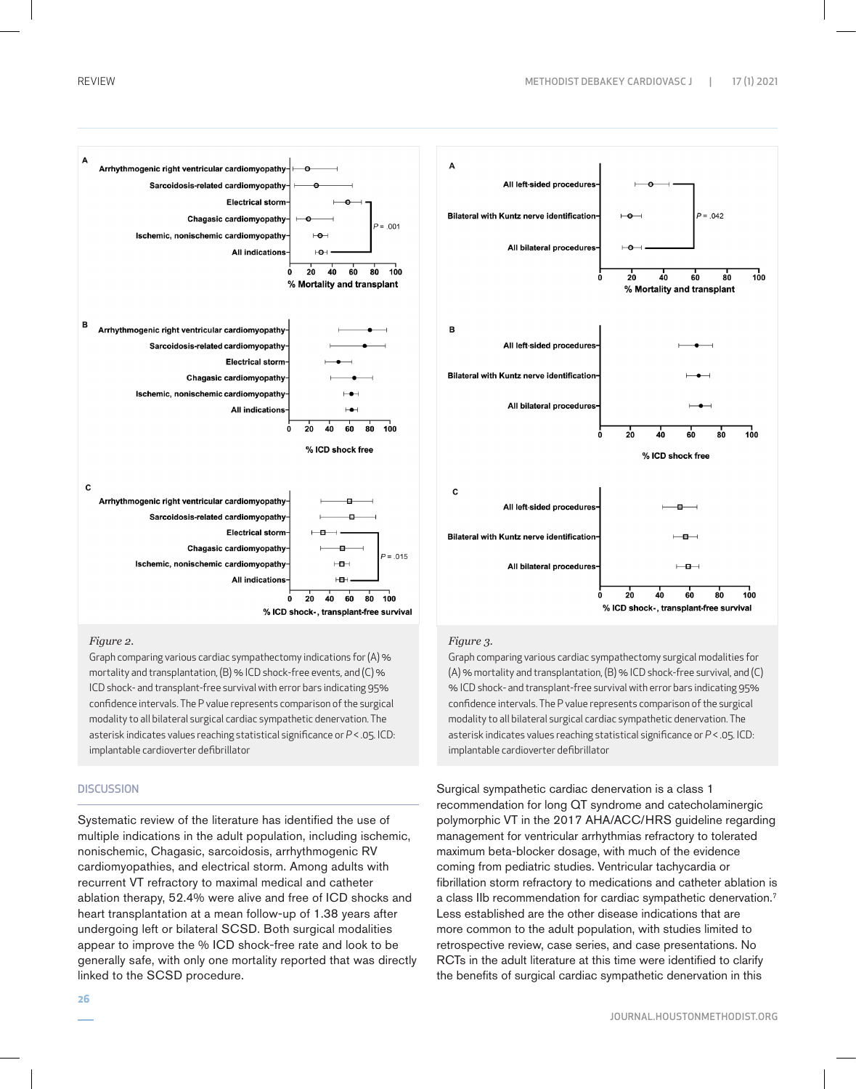$100$ 

 $100$ 





### *Figure 2.*

Graph comparing various cardiac sympathectomy indications for (A) % mortality and transplantation, (B) % ICD shock-free events, and (C) % ICD shock- and transplant-free survival with error bars indicating 95% confidence intervals. The P value represents comparison of the surgical modality to all bilateral surgical cardiac sympathetic denervation. The asterisk indicates values reaching statistical significance or *P* < .05. ICD: implantable cardioverter defibrillator

# **DISCUSSION**

Systematic review of the literature has identified the use of multiple indications in the adult population, including ischemic, nonischemic, Chagasic, sarcoidosis, arrhythmogenic RV cardiomyopathies, and electrical storm. Among adults with recurrent VT refractory to maximal medical and catheter ablation therapy, 52.4% were alive and free of ICD shocks and heart transplantation at a mean follow-up of 1.38 years after undergoing left or bilateral SCSD. Both surgical modalities appear to improve the % ICD shock-free rate and look to be generally safe, with only one mortality reported that was directly linked to the SCSD procedure.

### *Figure 3.*

Graph comparing various cardiac sympathectomy surgical modalities for (A) % mortality and transplantation, (B) % ICD shock-free survival, and (C) % ICD shock- and transplant-free survival with error bars indicating 95% confidence intervals. The P value represents comparison of the surgical modality to all bilateral surgical cardiac sympathetic denervation. The asterisk indicates values reaching statistical significance or *P* < .05. ICD: implantable cardioverter defibrillator

Surgical sympathetic cardiac denervation is a class 1 recommendation for long QT syndrome and catecholaminergic polymorphic VT in the 2017 AHA/ACC/HRS guideline regarding management for ventricular arrhythmias refractory to tolerated maximum beta-blocker dosage, with much of the evidence coming from pediatric studies. Ventricular tachycardia or fibrillation storm refractory to medications and catheter ablation is a class IIb recommendation for cardiac sympathetic denervation.7 Less established are the other disease indications that are more common to the adult population, with studies limited to retrospective review, case series, and case presentations. No RCTs in the adult literature at this time were identified to clarify the benefits of surgical cardiac sympathetic denervation in this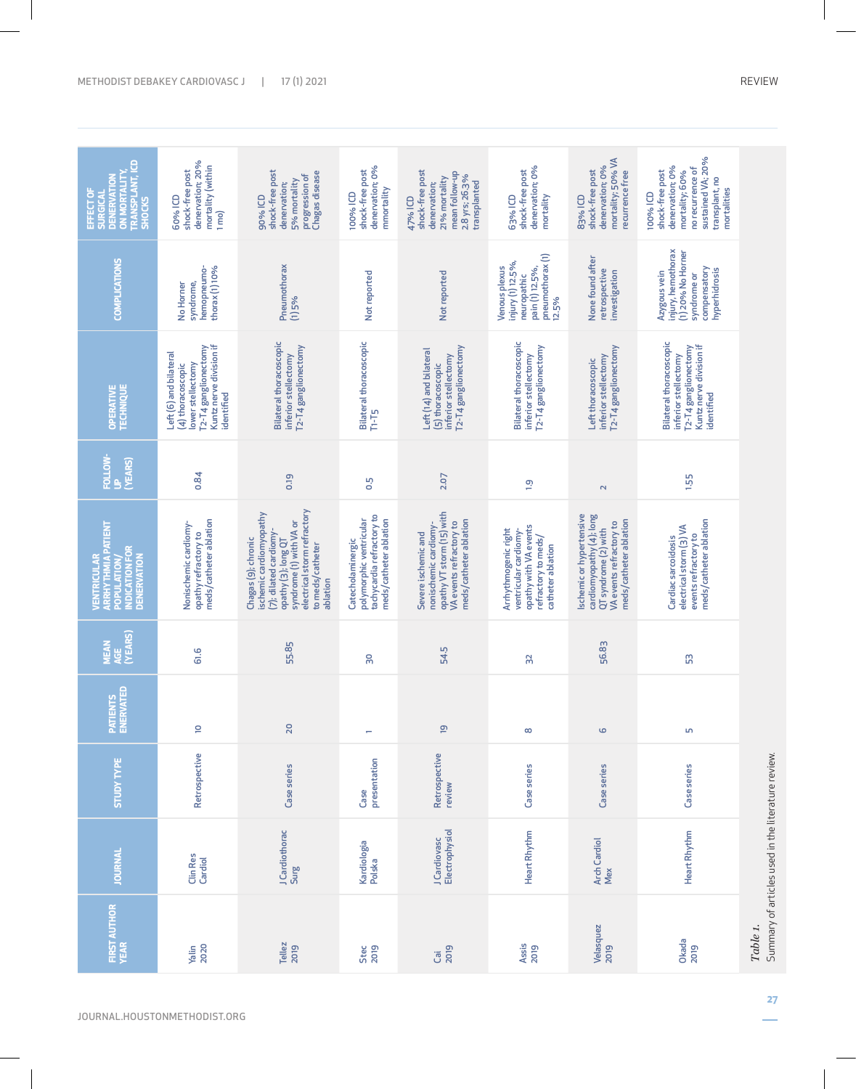| <b>DENERVATION<br/>ON MORTALITY,<br/>TRANSPLANT, ICD</b><br>EFFECT OF<br><b>SHOCKS</b>     | denervation; 20%<br>mortality (within<br>shock-free post<br>60% ICD<br>$1 \text{mo}$                                              | shock-free post<br>Chagas disease<br>progression of<br>5% mortality<br>denervation;<br>90% ICD                                                                                            | denervation; 0%<br>shock-free post<br>mmortality<br>100% ICD                                        | shock-free post<br>mean follow-up<br>2.8 yrs; 26.3%<br>21% mortality<br>transplanted<br>denervation;<br>47% ICD                | denervation; 0%<br>shock-free post<br>mortality<br>63% ICD                                                         | mortality; 50% VA<br>denervation; 0%<br>shock-free post<br>recurrence free<br>83% ICD                                             | sustained VA; 20%<br>denervation; 0%<br>no recurrence of<br>shock-free post<br>mortality; 60%<br>transplant, no<br>mortalities<br>100% ICD |                                                    |
|--------------------------------------------------------------------------------------------|-----------------------------------------------------------------------------------------------------------------------------------|-------------------------------------------------------------------------------------------------------------------------------------------------------------------------------------------|-----------------------------------------------------------------------------------------------------|--------------------------------------------------------------------------------------------------------------------------------|--------------------------------------------------------------------------------------------------------------------|-----------------------------------------------------------------------------------------------------------------------------------|--------------------------------------------------------------------------------------------------------------------------------------------|----------------------------------------------------|
| <b>COMPLICATIONS</b>                                                                       | thorax (1) 10%<br>hemopneumo-<br>syndrome,<br>No Homer                                                                            | Pneumothorax<br>(1) 5%                                                                                                                                                                    | Not reported                                                                                        | Not reported                                                                                                                   | pneumothorax (1)<br>injury (1) 12.5%,<br>pain (1) 12.5%,<br>Venous plexus<br>neuropathic<br>12.5%                  | None found after<br>retrospective<br>investigation                                                                                | injury, hemothorax<br>(1) 20% No Homer<br>compensatory<br>hyperhidrosis<br>Azygous vein<br>syndrome or                                     |                                                    |
| <b>OPERATIVE</b><br>TECHNIQUE                                                              | T2-T4 ganglionectomy<br>Kuntz nerve division if<br>Left (6) and bilateral<br>lower stellectomy<br>(4) thoracoscopic<br>identified | <b>Bilateral thoracoscopic</b><br>T2-T4 ganglionectomy<br>inferior stellectomy                                                                                                            | <b>Bilateral thoracoscopic</b><br>THT <sub>5</sub>                                                  | T2-T4 ganglionectomy<br>Left (14) and bilateral<br>inferior stellectomy<br>(5) thoracoscopic                                   | <b>Bilateral thoracoscopic</b><br>T2-T4 ganglionectomy<br>inferior stellectomy                                     | T2-T4 ganglionectomy<br>inferior stellectomy<br>Left thoracoscopic                                                                | Bilateral thoracoscopic<br>T2-T4 ganglionectomy<br>Kuntz nerve division if<br>inferior stellectomy<br>identified                           |                                                    |
| FOLLOW-<br>(YEARS)<br>ŝ                                                                    | 0.84                                                                                                                              | 0.19                                                                                                                                                                                      | <b>D.5</b>                                                                                          | 2.07                                                                                                                           | $\overline{0}$                                                                                                     | $\sim$                                                                                                                            | 1.55                                                                                                                                       |                                                    |
| <b>VENTRICULAR<br/>ARRHYTHMIA PATIENT<br/>POPULATION/</b><br>INDICATION FOR<br>DENERVATION | meds/catheter ablation<br>Nonischemic cardiomy-<br>opathy refractory to                                                           | electrical storm refractory<br>ischemic cardiomyopathy<br>syndrome (1) with VA or<br>(7); dilated cardiomy-<br>Chagas (9); chronic<br>opathy (3); long QT<br>to meds/catheter<br>ablation | tachycardia refractory to<br>meds/catheter ablation<br>polymorphic ventricular<br>Catecholaminergic | opathy VT storm (15) with<br>meds/catheter ablation<br>VA events refractory to<br>nonischemic cardiomy-<br>Severe ischemic and | opathy with VA events<br>Arrhythmogenic right<br>ventricular cardiomy-<br>refractory to meds/<br>catheter ablation | Ischemic or hypertensive<br>cardiomyopathy (4); long<br>meds/catheter ablation<br>VA events refractory to<br>QT syndrome (2) with | meds/catheter ablation<br>electrical storm (3) VA<br>events refractory to<br>Cardiac sarcoidosis                                           |                                                    |
| <b>MEAN<br/>AGE<br/>(YEARS)</b>                                                            | 61.6                                                                                                                              | 55.85                                                                                                                                                                                     | 30                                                                                                  | 54.5                                                                                                                           | 32                                                                                                                 | 56.83                                                                                                                             | 5S                                                                                                                                         |                                                    |
| Patients<br>Enervated                                                                      | $\overline{a}$                                                                                                                    | 20                                                                                                                                                                                        | ÷                                                                                                   | ഊ                                                                                                                              | $\infty$                                                                                                           | $\circ$                                                                                                                           | Lņ,                                                                                                                                        |                                                    |
| <b>STUDY TYPE</b>                                                                          | Retrospective                                                                                                                     | Case series                                                                                                                                                                               | presentation<br>Case                                                                                | Retrospective<br>review                                                                                                        | Case series                                                                                                        | Case series                                                                                                                       | Case series                                                                                                                                |                                                    |
| <b>JOURNAL</b>                                                                             | Clin Res<br>Cardiol                                                                                                               | J Cardiothorac<br>Surg                                                                                                                                                                    | Kardiologia<br>Polska                                                                               | Electrophysiol<br>J Cardiovasc                                                                                                 | Heart Rhythm                                                                                                       | <b>Arch Cardiol</b><br>Mex                                                                                                        | Heart Rhythm                                                                                                                               | Summary of articles used in the literature review. |
| <b>FIRST AUTHOR</b><br>YEAR                                                                | 2020<br>Yalin                                                                                                                     | Tellez<br>2019                                                                                                                                                                            | Stec<br>2019                                                                                        | Cai<br>2019                                                                                                                    | Assis<br>2019                                                                                                      | Velasquez<br>2019                                                                                                                 | Okada<br>2019                                                                                                                              | Table 1.                                           |
|                                                                                            |                                                                                                                                   |                                                                                                                                                                                           |                                                                                                     |                                                                                                                                |                                                                                                                    |                                                                                                                                   |                                                                                                                                            |                                                    |

JOURNAL.HOUSTONMETHODIST.ORG

**27**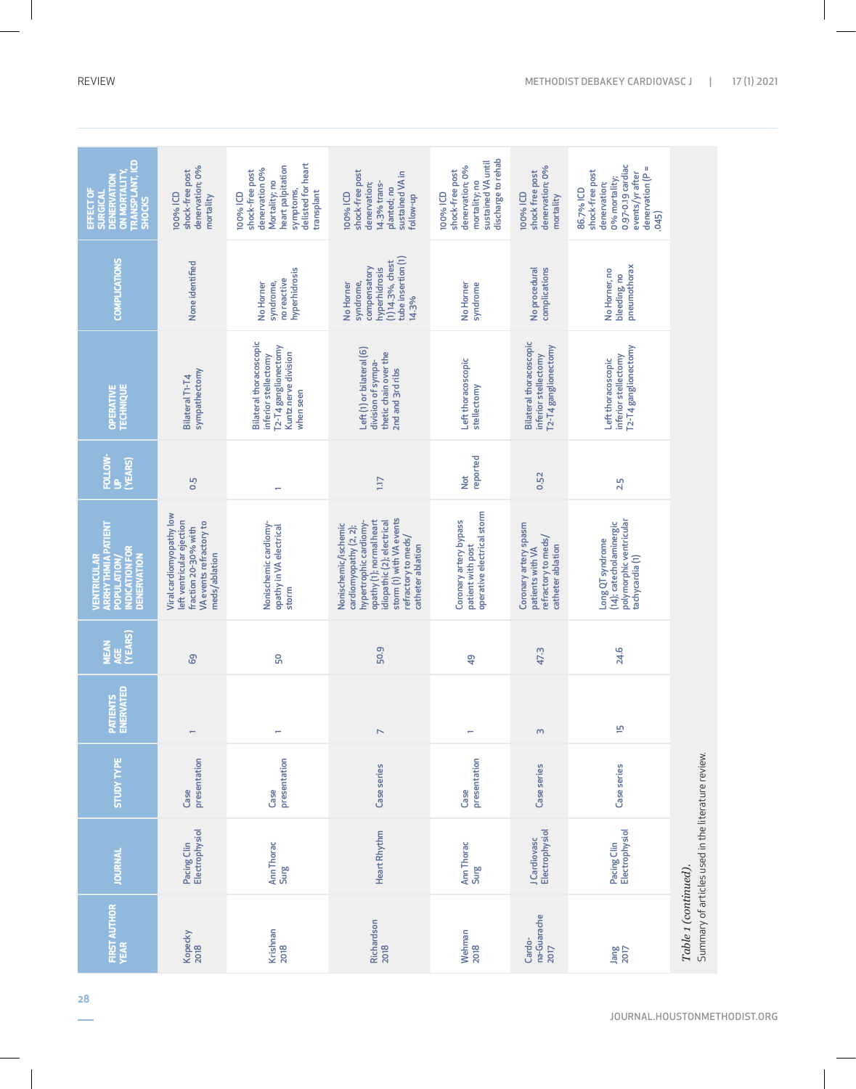| <b>TRANSPLANT, ICD</b><br>ON MORTALITY<br><b>DENERVATION</b><br>EFFECT OF<br><b>SURGICAL</b><br><b>SHOCKS</b> | denervation; 0%<br>shock-free post<br>100% ICD<br>mortality                                                               | delisted for heart<br>heart palpitation<br>denervation 0%<br>shock-free post<br>Mortality; no<br>symptoms,<br>transplant<br>100% ICD | shock-free post<br>sustained VA in<br>14.3% trans-<br>denervation;<br>planted; no<br>100% ICD<br>follow-up                                                                                                 | discharge to rehab<br>sustained VA until<br>denervation; 0%<br>shock-free post<br>mortality; no<br>100% ICD | denervation; 0%<br>shock free post<br>100% ICD<br>mortality                           | 0.97-0.19 cardiac<br>$denervation(P =$<br>shock-free post<br>events/yr after<br>0% mortality;<br>denervation;<br>86.7% ICD<br>(54.0, 0.0) |                                                    |
|---------------------------------------------------------------------------------------------------------------|---------------------------------------------------------------------------------------------------------------------------|--------------------------------------------------------------------------------------------------------------------------------------|------------------------------------------------------------------------------------------------------------------------------------------------------------------------------------------------------------|-------------------------------------------------------------------------------------------------------------|---------------------------------------------------------------------------------------|-------------------------------------------------------------------------------------------------------------------------------------------|----------------------------------------------------|
| <b>COMPLICATIONS</b>                                                                                          | None identified                                                                                                           | hyperhidrosis<br>no reactive<br>syndrome,<br>No Homer                                                                                | tube insertion (1)<br>$(1)$ 14.3%, chest<br>compensatory<br>hyperhidrosis<br>syndrome,<br>No Homer<br>14.3%                                                                                                | No Homer<br>syndrome                                                                                        | No procedural<br>complications                                                        | pneumothorax<br>No Homer, no<br>bleeding, no                                                                                              |                                                    |
| OPERATIVE<br>TECHNIQUE                                                                                        | sympathectomy<br>Bilateral T1-T4                                                                                          | <b>Bilateral thoracoscopic</b><br>T2-T4 ganglionectomy<br>Kuntz nerve division<br>inferior stellectomy<br>when seen                  | Left (1) or bilateral (6)<br>thetic chain over the<br>division of sympa-<br>2nd and 3rd ribs                                                                                                               | Left thoracoscopic<br>stellectomy                                                                           | <b>Bilateral thoracoscopic</b><br>T2-T4 ganglionectomy<br>inferior stellectomy        | T2-T4 ganglionectomy<br>inferior stellectomy<br>Left thoracoscopic                                                                        |                                                    |
| FOLLOW-<br>(YEARS)<br>Ŝ                                                                                       | 0.5                                                                                                                       | ۳                                                                                                                                    | 117                                                                                                                                                                                                        | reported<br>$\frac{t}{2}$                                                                                   | 0.52                                                                                  | 2.5                                                                                                                                       |                                                    |
| VENTRICULAR<br>ARRHYTHMIA PATIENT<br>INDICATION FOR<br><b>DENERVATION</b><br>POPULATION/                      | Viral cardiomyopathy low<br>left ventricular ejection<br>VA events refractory to<br>fraction 20-30% with<br>meds/ablation | Nonischemic cardiomy-<br>opathy in VA electrical<br>storm                                                                            | storm (1) with VA events<br>opathy (1); normal heart<br>hypertrophic cardiomy-<br>idiopathic (2); electrical<br>Nonischemic/ischemic<br>cardiomyopathy (2, 2);<br>refractory to meds/<br>catheter ablation | operative electrical storm<br>Coronary artery bypass<br>patient with post                                   | Coronary artery spasm<br>refractory to meds/<br>catheter ablation<br>patients with VA | polymorphic ventricular<br>(14); cate cholaminergic<br>Long QT syndrome<br>tachycardia(1)                                                 |                                                    |
| AGE<br>(YEARS)<br>MEAN                                                                                        | G9                                                                                                                        | 50                                                                                                                                   | 50.9                                                                                                                                                                                                       | $\frac{1}{2}$                                                                                               | 47.3                                                                                  | 24.6                                                                                                                                      |                                                    |
| PATIENTS<br>ENERVATED                                                                                         | $\overline{\phantom{0}}$                                                                                                  | ÷                                                                                                                                    | $\triangleright$                                                                                                                                                                                           | ÷                                                                                                           | $\omega$                                                                              | ٣                                                                                                                                         |                                                    |
| <b>STUDY TYPE</b>                                                                                             | presentation<br>Case                                                                                                      | presentation<br>Case                                                                                                                 | Case series                                                                                                                                                                                                | presentation<br>Case                                                                                        | Case series                                                                           | Case series                                                                                                                               |                                                    |
| <b>JOURNAL</b>                                                                                                | Electrophysiol<br>Pacing Clin                                                                                             | Ann Thorac<br>Surg                                                                                                                   | <b>Heart Rhythm</b>                                                                                                                                                                                        | Ann Thorac<br>Surg                                                                                          | Electrophysiol<br>J Cardiovasc                                                        | Electrophysiol<br>Pacing Clin                                                                                                             | Summary of articles used in the literature review. |
| <b>FIRST AUTHOR</b><br>YEAR                                                                                   | Kopecky<br>2018                                                                                                           | Krishnan<br>2018                                                                                                                     | Richardson<br>2018                                                                                                                                                                                         | Wehman<br>2018                                                                                              | na-Guarache<br>Cardo-<br>2017                                                         | Jang<br>2017                                                                                                                              | Table 1 (continued)                                |

JOURNAL.HOUSTONMETHODIST.ORG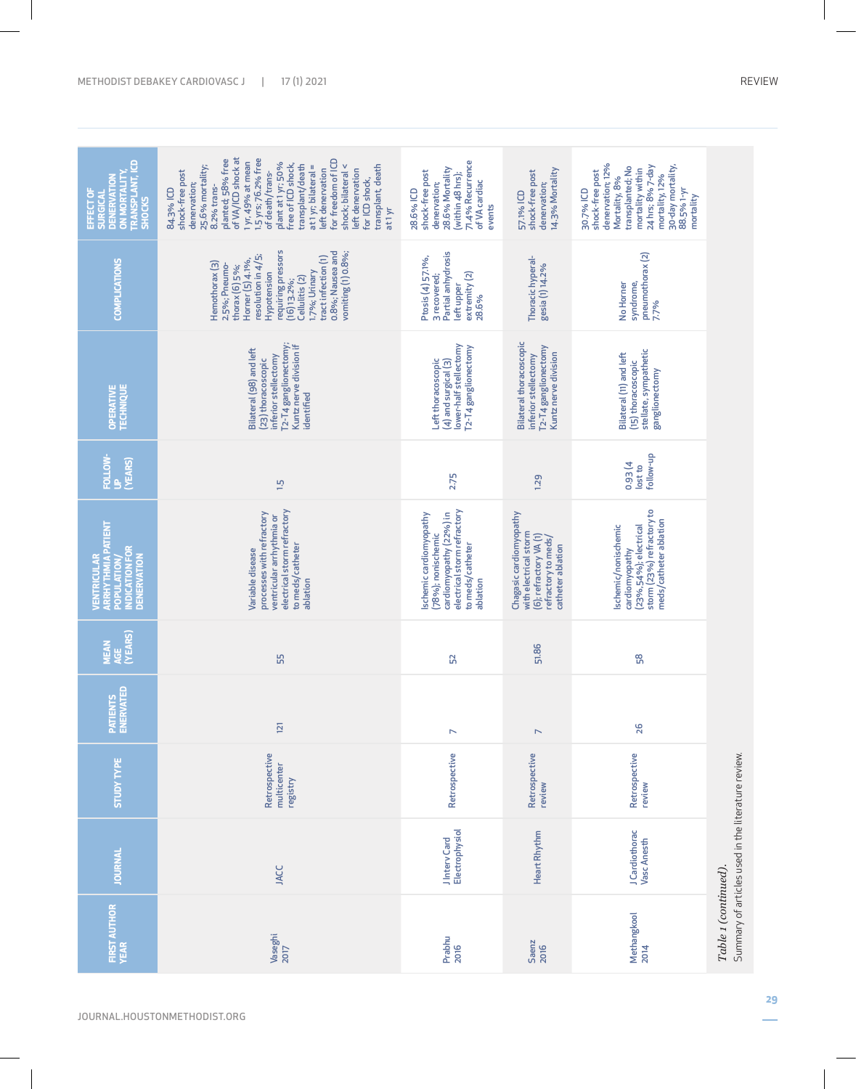| TRANSPLANT, ICD<br>SHOCKS<br><b>DENERVATION</b><br>ON MORTALITY,<br>EFFECT OF<br><b>SURGICAL</b> | of VA/ICD shock at<br>1.5 yrs; 76.2% free<br>for freedom of ICD<br>planted; 58% free<br>1 yr, 49% at mean<br>plant at 1 yr; 50%<br>free of ICD shock,<br>transplant/death<br>25.6% mortality;<br>at 1 yr; bilateral =<br>shock; bilateral <<br>transplant, death<br>left denervation<br>left denervation<br>shock-free post<br>of death/trans-<br>for ICD shock,<br>denervation;<br>8.2% trans-<br>84.3% ICD<br>at <sub>1</sub> yr | 71.4% Recurrence<br>28.6% Mortality<br>shock-free post<br>(within 48 hrs);<br>of VA cardiac<br>denervation;<br>28.6% ICD<br>events      | 14.3% Mortality<br>shock-free post<br>denervation;<br>57.1% ICD                                                        | denervation; 12%<br>30-day mortality,<br>24 hrs; 8% 7-day<br>transplanted; No<br>mortality within<br>shock-free post<br>mortality, 12%<br>Mortality, 8%<br>88.5% 1-yr<br>30.7% ICD<br>mortality |                                                    |
|--------------------------------------------------------------------------------------------------|------------------------------------------------------------------------------------------------------------------------------------------------------------------------------------------------------------------------------------------------------------------------------------------------------------------------------------------------------------------------------------------------------------------------------------|-----------------------------------------------------------------------------------------------------------------------------------------|------------------------------------------------------------------------------------------------------------------------|-------------------------------------------------------------------------------------------------------------------------------------------------------------------------------------------------|----------------------------------------------------|
| <b>COMPLICATIONS</b>                                                                             | requiring pressors<br>vomiting (1) 0.8%;<br>0.8%; Nausea and<br>Horner (5) 4.1%,<br>resolution in 4/5;<br>tract infection (1)<br>Hemothorax (3)<br>2.5%; Pneumo-<br>thorax (6) 5%;<br>1.7%; Urinary<br>Hypotension<br>Cellulitis (2)<br>$(16)$ 13.2%;                                                                                                                                                                              | Partial anhydrosis<br>Ptosis (4) 57.1%,<br>extremity (2)<br>3 recovered;<br>left upper<br>28.6%                                         | Thoracic hyperal-<br>gesia (1) 14.2%                                                                                   | pneumothorax (2)<br>No Homer<br>syndrome,<br>7.7%                                                                                                                                               |                                                    |
| OPERATIVE<br>TECHNIQUE                                                                           | T2-T4 ganglionectomy;<br>Kuntz nerve division if<br>Bilateral (98) and left<br>inferior stellectomy<br>(23) thoracoscopic<br>identified                                                                                                                                                                                                                                                                                            | lower-half stellectomy<br>T2-T4 ganglionectomy<br>Left thoracoscopic<br>$(4)$ and surgical $(3)$                                        | <b>Bilateral thoracoscopic</b><br>T2-T4 ganglionectomy<br>Kuntz nerve division<br>inferior stellectomy                 | stellate, sympathetic<br>Bilateral (11) and left<br>(15) thoracoscopic<br>ganglionectomy                                                                                                        |                                                    |
| FOLLOW-<br>UP<br>(YEARS)                                                                         | 1.5                                                                                                                                                                                                                                                                                                                                                                                                                                | 2.75                                                                                                                                    | 1.29                                                                                                                   | follow-up<br>0.93 (4<br>lostto                                                                                                                                                                  |                                                    |
| VENTRICULAR<br>ARRHYTHMIA PATIENT<br>POPULATION/<br><b>NDICATION FOR</b><br><b>DENERVATION</b>   | electrical storm refractory<br>processes with refractory<br>ventricular arrhythmia or<br>to meds/catheter<br>Variable disease<br>ablation                                                                                                                                                                                                                                                                                          | electrical storm refractory<br>Ischemic cardiomyopathy<br>cardiomyopathy (22%) in<br>(78%); nonischemic<br>to meds/catheter<br>ablation | Chagasic cardiomyopathy<br>with electrical storm<br>(6); refractory VA (1)<br>refractory to meds/<br>catheter ablation | storm (23%) refractory to<br>meds/catheter ablation<br>(23%,54%); electrical<br>Ischemic/nonischemic<br>cardiomyopathy                                                                          |                                                    |
| <b>MEAN<br/>AGE<br/>(YEARS)</b>                                                                  | 55                                                                                                                                                                                                                                                                                                                                                                                                                                 | 52                                                                                                                                      | 51.86                                                                                                                  | 58                                                                                                                                                                                              |                                                    |
| Patients<br>Enervat <u>ed</u>                                                                    | 121                                                                                                                                                                                                                                                                                                                                                                                                                                | $\triangleright$                                                                                                                        | $\mathord{\sim}$                                                                                                       | 26                                                                                                                                                                                              |                                                    |
| <b>STUDY TYPE</b>                                                                                | Retrospective<br>multicenter<br>registry                                                                                                                                                                                                                                                                                                                                                                                           | Retrospective                                                                                                                           | Retrospective<br>review                                                                                                | Retrospective<br>review                                                                                                                                                                         |                                                    |
| <b>JOURNAL</b>                                                                                   | <b>JACC</b>                                                                                                                                                                                                                                                                                                                                                                                                                        | Electrophysiol<br>JIntery Card                                                                                                          | Heart Rhythm                                                                                                           | J Cardiothorac<br>Vasc Anesth                                                                                                                                                                   | Summary of articles used in the literature review. |
| <b>FIRST AUTHOR</b>                                                                              | Vaseghi<br>2017                                                                                                                                                                                                                                                                                                                                                                                                                    | Prabhu<br>2016                                                                                                                          | Saenz<br>2016                                                                                                          | Methangkool<br>2014                                                                                                                                                                             | Table 1 (continued).                               |

 $\overline{\phantom{a}}$ 

JOURNAL.HOUSTONMETHODIST.ORG

 $\overline{\phantom{a}}$ 

**29**  $\overline{\phantom{0}}$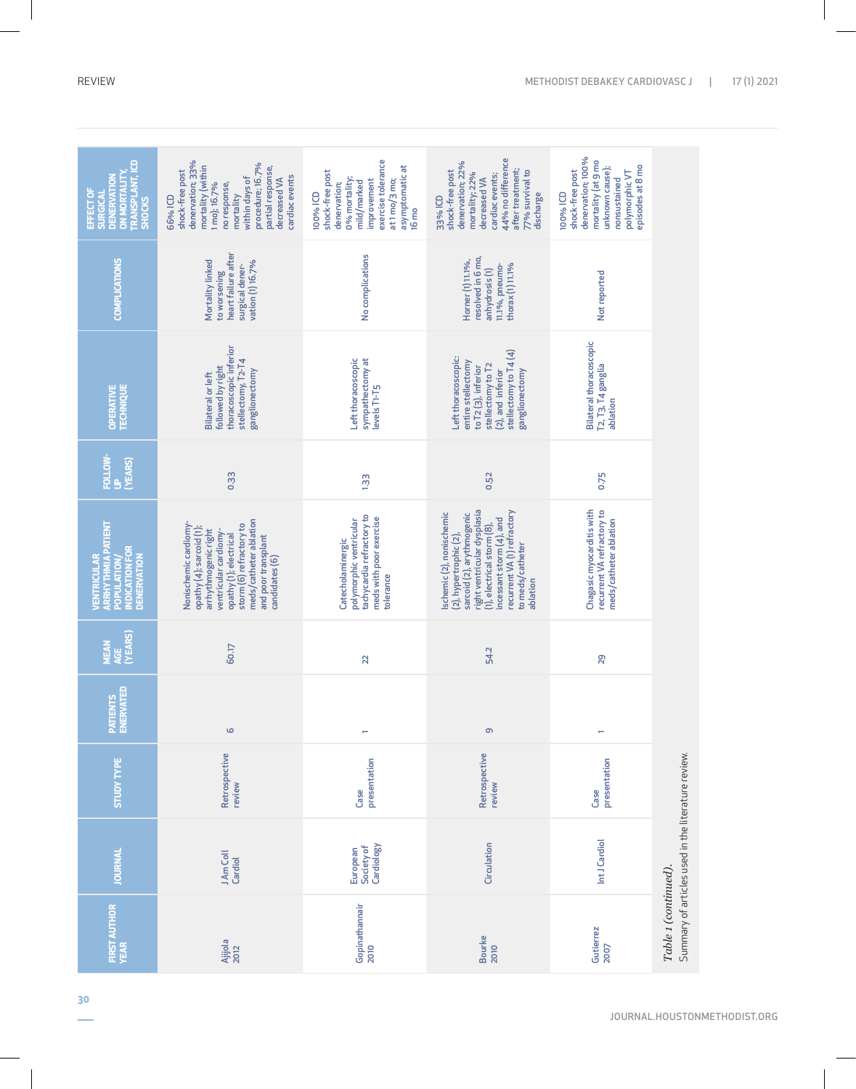| <b>RANSPLANT, ICD</b><br><b>ON MORTALITY</b><br><b>DENERVATIOI</b><br>EFFECT OF<br><b>SURGICAL</b><br><b>SHOCKS</b> | denervation; 33%<br>procedure; 16.7%<br>mortality (within<br>partial response,<br>shock-free post<br>cardiac events<br>within days of<br>decreased VA<br>1 mo); 16.7%<br>no response,<br>mortality<br>66% ICD              | exercise tolerance<br>asymptomatic at<br>shock-free post<br>0% mortality;<br>improvement<br>at1mo/3mo;<br>mild/marked<br>denervation;<br>100% ICD<br>$16 \text{ mo}$ | 44% no difference<br>denervation; 22%<br>after treatment;<br>shock-free post<br>77% survival to<br>mortality; 22%<br>cardiac events;<br>decreased VA<br>discharge<br>33% ICD                                                            | denervation; 100%<br>mortality (at 9 mo<br>episodes at 8 mo<br>unknown cause);<br>shock-free post<br>polymorphic VT<br>nonsustained<br>100% ICD |                                                    |
|---------------------------------------------------------------------------------------------------------------------|----------------------------------------------------------------------------------------------------------------------------------------------------------------------------------------------------------------------------|----------------------------------------------------------------------------------------------------------------------------------------------------------------------|-----------------------------------------------------------------------------------------------------------------------------------------------------------------------------------------------------------------------------------------|-------------------------------------------------------------------------------------------------------------------------------------------------|----------------------------------------------------|
| <b>COMPLICATIONS</b>                                                                                                | heart failure after<br>Mortality linked<br>vation (1) 16.7%<br>surgical dener-<br>to worsening                                                                                                                             | No complications                                                                                                                                                     | resolved in 6 mo,<br>Horner (1) 11.1%,<br>11.1%, pneumo-<br>thorax (1) 11.1%<br>anhydrosis(1)                                                                                                                                           | Not reported                                                                                                                                    |                                                    |
| OPERATIVE<br>TECHNIQUE                                                                                              | thoracoscopic inferior<br>stellectomy, T2-T4<br>followed by right<br>ganglionectomy<br><b>Bilateral or left</b>                                                                                                            | Left thoracoscopic<br>sympathectomy at<br>levels T1-T5                                                                                                               | stellectomy to T4 (4)<br>Left thoracoscopic:<br>entire stellectomy<br>stellectomy to T2<br>to T2 (3), inferior<br>(2), and inferior<br>ganglionectomy                                                                                   | <b>Bilateral thoracoscopic</b><br>T2, T3, T4 ganglia<br>ablation                                                                                |                                                    |
| FOLLOW-<br>UP<br>(YEARS)                                                                                            | 0.33                                                                                                                                                                                                                       | 133                                                                                                                                                                  | 0.52                                                                                                                                                                                                                                    | 0.75                                                                                                                                            |                                                    |
| ARRHYTHMIA PATIENT<br>POPULATION/<br>INDICATION FOR<br><b>DENERVATION</b><br>VENTRICULAR                            | meds/catheter ablation<br>Nonischemic cardiomy-<br>storm (6) refractory to<br>opathy (4); sarcoid (1);<br>arrhythmogenic right<br>ventricular cardiomy-<br>opathy (1); electrical<br>and poor transplant<br>candidates (6) | tachycardia refractory to<br>meds with poor exercise<br>polymorphic ventricular<br>Catecholaminergic<br>tolerance                                                    | right ventricular dysplasia<br>recurrent VA (1) refractory<br>schemic (2), nonischemic<br>sarcoid (2), arythmogenic<br>incessant storm (4), and<br>(1), electrical storm (8),<br>(2), hypertrophic (2),<br>to meds/catheter<br>ablation | Chagasic myocarditis with<br>recurrent VA refractory to<br>meds/catheter ablation                                                               |                                                    |
| (YEARS)<br><b>MEAN</b><br>AGE                                                                                       | 60.17                                                                                                                                                                                                                      | 22                                                                                                                                                                   | 54.2                                                                                                                                                                                                                                    | 29                                                                                                                                              |                                                    |
| PATIENTS<br>ENERVATED                                                                                               | $\circ$                                                                                                                                                                                                                    | ÷                                                                                                                                                                    | თ                                                                                                                                                                                                                                       |                                                                                                                                                 |                                                    |
| <b>STUDY TYPE</b>                                                                                                   | Retrospective<br>review                                                                                                                                                                                                    | presentation<br>Case                                                                                                                                                 | Retrospective<br>review                                                                                                                                                                                                                 | presentation<br>Case                                                                                                                            |                                                    |
| <b>JOURNAL</b>                                                                                                      | J Am Coll<br>Cardiol                                                                                                                                                                                                       | Cardiology<br>Society of<br>European                                                                                                                                 | Circulation                                                                                                                                                                                                                             | Int J Cardiol                                                                                                                                   | Summary of articles used in the literature review. |
| <b>FIRST AUTHOR</b>                                                                                                 | Ajijola<br>2012                                                                                                                                                                                                            | Gopinathannair<br>2010                                                                                                                                               | <b>Bourke</b><br>2010                                                                                                                                                                                                                   | Gutierrez<br>2007                                                                                                                               | Table 1 (continued).                               |

JOURNAL.HOUSTONMETHODIST.ORG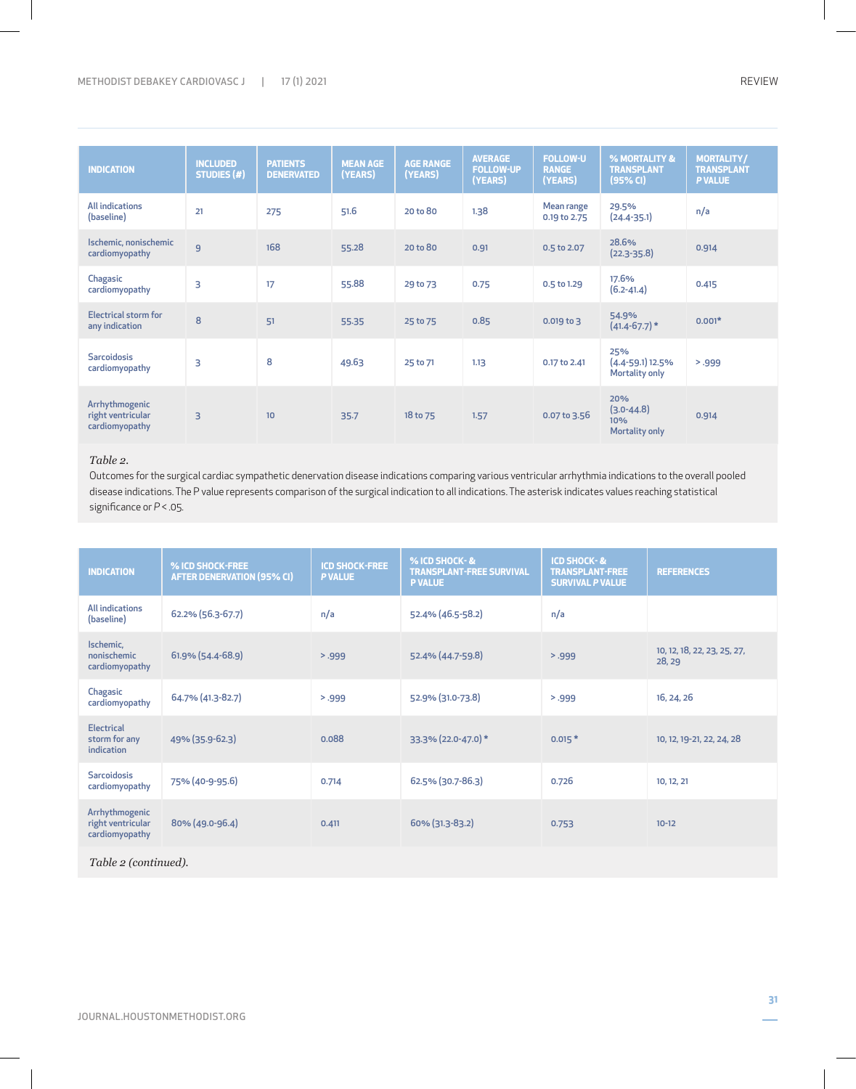| <b>INDICATION</b>                                     | <b>INCLUDED</b><br><b>STUDIES (#)</b> | <b>PATIENTS</b><br><b>DENERVATED</b> | <b>MEAN AGE</b><br>(YEARS) | <b>AGE RANGE</b><br>(YEARS) | <b>AVERAGE</b><br><b>FOLLOW-UP</b> | <b>FOLLOW-U</b><br><b>RANGE</b> | % MORTALITY &<br><b>TRANSPLANT</b>                    | <b>MORTALITY/</b><br><b>TRANSPLANT</b> |
|-------------------------------------------------------|---------------------------------------|--------------------------------------|----------------------------|-----------------------------|------------------------------------|---------------------------------|-------------------------------------------------------|----------------------------------------|
|                                                       |                                       |                                      |                            |                             | (YEARS)                            | (YEARS)                         | (95% CI)                                              | <b>P VALUE</b>                         |
| <b>All indications</b><br>(baseline)                  | 21                                    | 275                                  | 51.6                       | 20 to 80                    | 1.38                               | Mean range<br>0.19 to 2.75      | 29.5%<br>$(24.4 - 35.1)$                              | n/a                                    |
| Ischemic, nonischemic<br>cardiomyopathy               | 9                                     | 168                                  | 55.28                      | 20 to 80                    | 0.91                               | 0.5 to 2.07                     | 28.6%<br>$(22.3 - 35.8)$                              | 0.914                                  |
| Chagasic<br>cardiomyopathy                            | 3                                     | 17                                   | 55.88                      | 29 to 73                    | 0.75                               | 0.5 to 1.29                     | 17.6%<br>$(6.2 - 41.4)$                               | 0.415                                  |
| <b>Electrical storm for</b><br>any indication         | 8                                     | 51                                   | 55.35                      | 25 to 75                    | 0.85                               | $0.019$ to 3                    | 54.9%<br>$(41.4 - 67.7)*$                             | $0.001*$                               |
| <b>Sarcoidosis</b><br>cardiomyopathy                  | 3                                     | 8                                    | 49.63                      | 25 to 71                    | 1.13                               | 0.17 to 2.41                    | 25%<br>$(4.4 - 59.1)$ 12.5%<br>Mortality only         | > .999                                 |
| Arrhythmogenic<br>right ventricular<br>cardiomyopathy | 3                                     | 10 <sup>°</sup>                      | 35.7                       | 18 to 75                    | 1.57                               | $0.07$ to 3.56                  | 20%<br>$(3.0 - 44.8)$<br>10%<br><b>Mortality only</b> | 0.914                                  |

# *Table 2.*

Outcomes for the surgical cardiac sympathetic denervation disease indications comparing various ventricular arrhythmia indications to the overall pooled disease indications. The P value represents comparison of the surgical indication to all indications. The asterisk indicates values reaching statistical significance or *P* < .05.

| <b>INDICATION</b>                                     | % ICD SHOCK-FREE<br><b>AFTER DENERVATION (95% CI)</b> | <b>ICD SHOCK-FREE</b><br><b>P VALUE</b> | % ICD SHOCK-&<br><b>TRANSPLANT-FREE SURVIVAL</b><br><b>P VALUE</b> | <b>ICD SHOCK-&amp;</b><br><b>TRANSPLANT-FREE</b><br><b>SURVIVAL P VALUE</b> | <b>REFERENCES</b>                     |  |
|-------------------------------------------------------|-------------------------------------------------------|-----------------------------------------|--------------------------------------------------------------------|-----------------------------------------------------------------------------|---------------------------------------|--|
| <b>All indications</b><br>(baseline)                  | 62.2% (56.3-67.7)                                     | n/a                                     | 52.4% (46.5-58.2)                                                  | n/a                                                                         |                                       |  |
| Ischemic.<br>nonischemic<br>cardiomyopathy            | 61.9% (54.4-68.9)                                     | 5.999                                   | 52.4% (44.7-59.8)                                                  | 5.999                                                                       | 10, 12, 18, 22, 23, 25, 27,<br>28, 29 |  |
| Chagasic<br>cardiomyopathy                            | 64.7% (41.3-82.7)                                     | 5.999                                   | 52.9% (31.0-73.8)                                                  | > .999                                                                      | 16, 24, 26                            |  |
| <b>Electrical</b><br>storm for any<br>indication      | 49% (35.9-62.3)                                       | 0.088                                   | 33.3% (22.0-47.0) *                                                | $0.015*$                                                                    | 10, 12, 19-21, 22, 24, 28             |  |
| <b>Sarcoidosis</b><br>cardiomyopathy                  | 75% (40-9-95.6)                                       | 0.714                                   | 62.5% (30.7-86.3)                                                  | 0.726                                                                       | 10, 12, 21                            |  |
| Arrhythmogenic<br>right ventricular<br>cardiomyopathy | 80% (49.0-96.4)                                       | 0.411                                   | 60% (31.3-83.2)                                                    | 0.753                                                                       | $10 - 12$                             |  |
| Table 2 (continued).                                  |                                                       |                                         |                                                                    |                                                                             |                                       |  |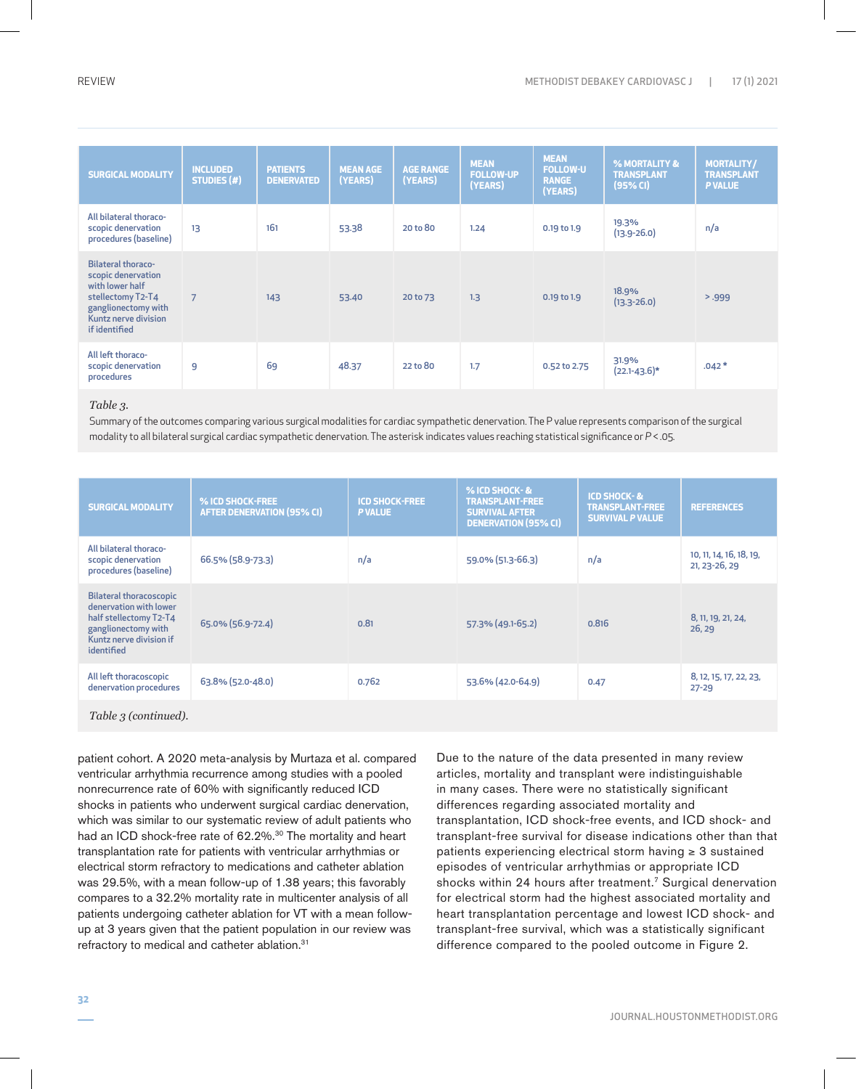| <b>SURGICAL MODALITY</b>                                                                                                                                | <b>INCLUDED</b><br><b>STUDIES (#)</b> | <b>PATIENTS</b><br><b>DENERVATED</b> | <b>MEAN AGE</b><br>(YEARS) | <b>AGE RANGE</b><br>(YEARS) | <b>MEAN</b><br><b>FOLLOW-UP</b><br>(YEARS) | <b>MEAN</b><br><b>FOLLOW-U</b><br><b>RANGE</b><br>(YEARS) | % MORTALITY &<br><b>TRANSPLANT</b><br>(95% CI) | <b>MORTALITY/</b><br><b>TRANSPLANT</b><br><b>P VALUE</b> |
|---------------------------------------------------------------------------------------------------------------------------------------------------------|---------------------------------------|--------------------------------------|----------------------------|-----------------------------|--------------------------------------------|-----------------------------------------------------------|------------------------------------------------|----------------------------------------------------------|
| All bilateral thoraco-<br>scopic denervation<br>procedures (baseline)                                                                                   | 13                                    | 161                                  | 53.38                      | 20 to 80                    | 1.24                                       | 0.19 to 1.9                                               | 19.3%<br>$(13.9 - 26.0)$                       | n/a                                                      |
| <b>Bilateral thoraco-</b><br>scopic denervation<br>with lower half<br>stellectomy T2-T4<br>ganglionectomy with<br>Kuntz nerve division<br>if identified | $\overline{7}$                        | 143                                  | 53.40                      | 20 to 73                    | 1.3                                        | 0.19 to 1.9                                               | 18.9%<br>$(13.3 - 26.0)$                       | 5.999                                                    |
| All left thoraco-<br>scopic denervation<br>procedures                                                                                                   | 9                                     | 69                                   | 48.37                      | 22 to 80                    | 1.7                                        | 0.52 to 2.75                                              | 31.9%<br>$(22.1 - 43.6)^*$                     | $.042*$                                                  |

# *Table 3.*

Summary of the outcomes comparing various surgical modalities for cardiac sympathetic denervation. The P value represents comparison of the surgical modality to all bilateral surgical cardiac sympathetic denervation. The asterisk indicates values reaching statistical significance or *P* < .05.

| <b>SURGICAL MODALITY</b>                                                                                                                           | % ICD SHOCK-FREE<br><b>AFTER DENERVATION (95% CI)</b> | <b>ICD SHOCK-FREE</b><br><b>PVALUE</b> | % ICD SHOCK-&<br><b>TRANSPLANT-FREE</b><br><b>SURVIVAL AFTER</b><br><b>DENERVATION (95% CI)</b> | <b>ICD SHOCK-&amp;</b><br><b>TRANSPLANT-FREE</b><br><b>SURVIVAL P VALUE</b> | <b>REFERENCES</b>                        |
|----------------------------------------------------------------------------------------------------------------------------------------------------|-------------------------------------------------------|----------------------------------------|-------------------------------------------------------------------------------------------------|-----------------------------------------------------------------------------|------------------------------------------|
| All bilateral thoraco-<br>scopic denervation<br>procedures (baseline)                                                                              | 66.5% (58.9-73.3)                                     | n/a                                    | 59.0% (51.3-66.3)                                                                               | n/a                                                                         | 10, 11, 14, 16, 18, 19,<br>21, 23-26, 29 |
| <b>Bilateral thoracoscopic</b><br>denervation with lower<br>half stellectomy T2-T4<br>ganglionectomy with<br>Kuntz nerve division if<br>identified | 65.0% (56.9-72.4)                                     | 0.81                                   | 57.3% (49.1-65.2)                                                                               | 0.816                                                                       | 8, 11, 19, 21, 24,<br>26, 29             |
| All left thoracoscopic<br>denervation procedures                                                                                                   | 63.8% (52.0-48.0)                                     | 0.762                                  | 53.6% (42.0-64.9)                                                                               | 0.47                                                                        | 8, 12, 15, 17, 22, 23,<br>$27 - 29$      |
| Table 3 (continued).                                                                                                                               |                                                       |                                        |                                                                                                 |                                                                             |                                          |

patient cohort. A 2020 meta-analysis by Murtaza et al. compared ventricular arrhythmia recurrence among studies with a pooled nonrecurrence rate of 60% with significantly reduced ICD shocks in patients who underwent surgical cardiac denervation, which was similar to our systematic review of adult patients who had an ICD shock-free rate of 62.2%.<sup>30</sup> The mortality and heart transplantation rate for patients with ventricular arrhythmias or electrical storm refractory to medications and catheter ablation was 29.5%, with a mean follow-up of 1.38 years; this favorably compares to a 32.2% mortality rate in multicenter analysis of all patients undergoing catheter ablation for VT with a mean followup at 3 years given that the patient population in our review was refractory to medical and catheter ablation.31

Due to the nature of the data presented in many review articles, mortality and transplant were indistinguishable in many cases. There were no statistically significant differences regarding associated mortality and transplantation, ICD shock-free events, and ICD shock- and transplant-free survival for disease indications other than that patients experiencing electrical storm having ≥ 3 sustained episodes of ventricular arrhythmias or appropriate ICD shocks within 24 hours after treatment.<sup>7</sup> Surgical denervation for electrical storm had the highest associated mortality and heart transplantation percentage and lowest ICD shock- and transplant-free survival, which was a statistically significant difference compared to the pooled outcome in Figure 2.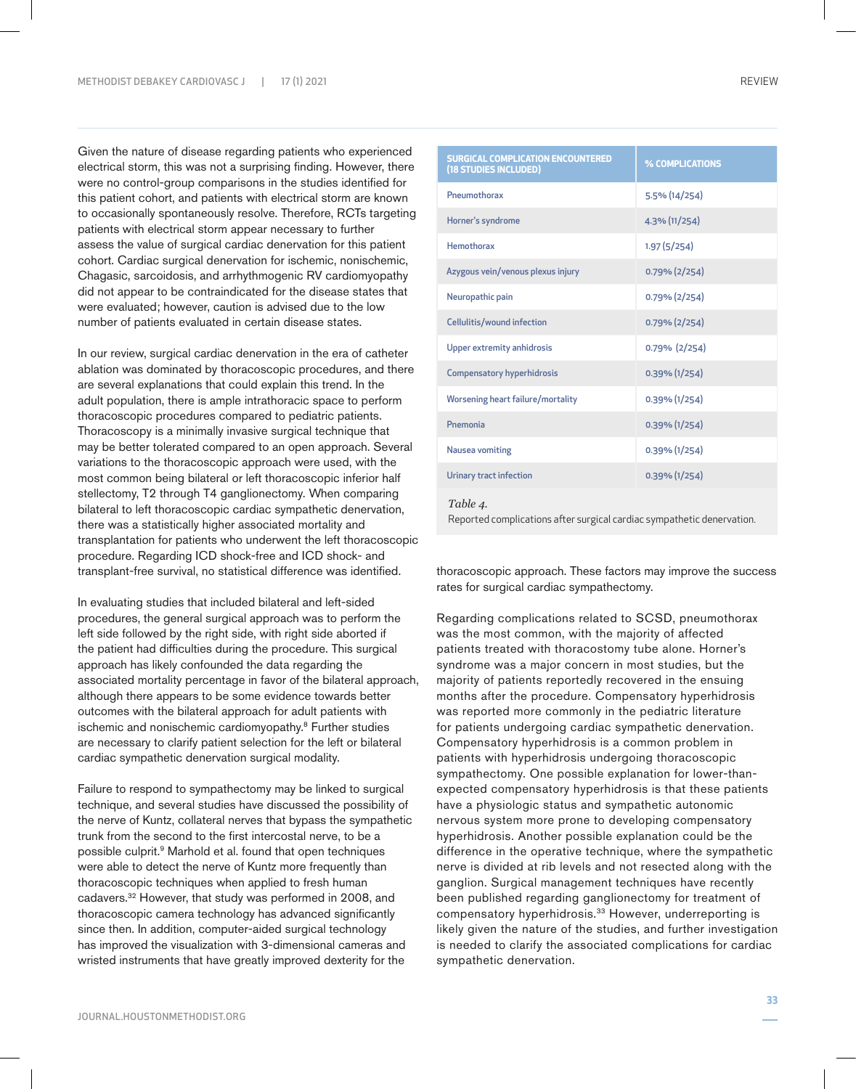Given the nature of disease regarding patients who experienced electrical storm, this was not a surprising finding. However, there were no control-group comparisons in the studies identified for this patient cohort, and patients with electrical storm are known to occasionally spontaneously resolve. Therefore, RCTs targeting patients with electrical storm appear necessary to further assess the value of surgical cardiac denervation for this patient cohort. Cardiac surgical denervation for ischemic, nonischemic, Chagasic, sarcoidosis, and arrhythmogenic RV cardiomyopathy did not appear to be contraindicated for the disease states that were evaluated; however, caution is advised due to the low number of patients evaluated in certain disease states.

In our review, surgical cardiac denervation in the era of catheter ablation was dominated by thoracoscopic procedures, and there are several explanations that could explain this trend. In the adult population, there is ample intrathoracic space to perform thoracoscopic procedures compared to pediatric patients. Thoracoscopy is a minimally invasive surgical technique that may be better tolerated compared to an open approach. Several variations to the thoracoscopic approach were used, with the most common being bilateral or left thoracoscopic inferior half stellectomy, T2 through T4 ganglionectomy. When comparing bilateral to left thoracoscopic cardiac sympathetic denervation, there was a statistically higher associated mortality and transplantation for patients who underwent the left thoracoscopic procedure. Regarding ICD shock-free and ICD shock- and transplant-free survival, no statistical difference was identified.

In evaluating studies that included bilateral and left-sided procedures, the general surgical approach was to perform the left side followed by the right side, with right side aborted if the patient had difficulties during the procedure. This surgical approach has likely confounded the data regarding the associated mortality percentage in favor of the bilateral approach, although there appears to be some evidence towards better outcomes with the bilateral approach for adult patients with ischemic and nonischemic cardiomyopathy.8 Further studies are necessary to clarify patient selection for the left or bilateral cardiac sympathetic denervation surgical modality.

Failure to respond to sympathectomy may be linked to surgical technique, and several studies have discussed the possibility of the nerve of Kuntz, collateral nerves that bypass the sympathetic trunk from the second to the first intercostal nerve, to be a possible culprit.9 Marhold et al. found that open techniques were able to detect the nerve of Kuntz more frequently than thoracoscopic techniques when applied to fresh human cadavers.32 However, that study was performed in 2008, and thoracoscopic camera technology has advanced significantly since then. In addition, computer-aided surgical technology has improved the visualization with 3-dimensional cameras and wristed instruments that have greatly improved dexterity for the

| <b>SURGICAL COMPLICATION ENCOUNTERED</b><br>(18 STUDIES INCLUDED) | % COMPLICATIONS  |
|-------------------------------------------------------------------|------------------|
| Pneumothorax                                                      | 5.5% (14/254)    |
| Horner's syndrome                                                 | 4.3% (11/254)    |
| <b>Hemothorax</b>                                                 | 1.97(5/254)      |
| Azygous vein/venous plexus injury                                 | $0.79\%$ (2/254) |
| Neuropathic pain                                                  | $0.79\%$ (2/254) |
| Cellulitis/wound infection                                        | $0.79\%$ (2/254) |
| <b>Upper extremity anhidrosis</b>                                 | $0.79\%$ (2/254) |
| <b>Compensatory hyperhidrosis</b>                                 | 0.39% (1/254)    |
| Worsening heart failure/mortality                                 | $0.39\%$ (1/254) |
| Pnemonia                                                          | $0.39\%$ (1/254) |
| <b>Nausea vomiting</b>                                            | $0.39\%$ (1/254) |
| Urinary tract infection                                           | $0.39\%$ (1/254) |
| Table 4.                                                          |                  |

Reported complications after surgical cardiac sympathetic denervation.

thoracoscopic approach. These factors may improve the success rates for surgical cardiac sympathectomy.

Regarding complications related to SCSD, pneumothorax was the most common, with the majority of affected patients treated with thoracostomy tube alone. Horner's syndrome was a major concern in most studies, but the majority of patients reportedly recovered in the ensuing months after the procedure. Compensatory hyperhidrosis was reported more commonly in the pediatric literature for patients undergoing cardiac sympathetic denervation. Compensatory hyperhidrosis is a common problem in patients with hyperhidrosis undergoing thoracoscopic sympathectomy. One possible explanation for lower-thanexpected compensatory hyperhidrosis is that these patients have a physiologic status and sympathetic autonomic nervous system more prone to developing compensatory hyperhidrosis. Another possible explanation could be the difference in the operative technique, where the sympathetic nerve is divided at rib levels and not resected along with the ganglion. Surgical management techniques have recently been published regarding ganglionectomy for treatment of compensatory hyperhidrosis.<sup>33</sup> However, underreporting is likely given the nature of the studies, and further investigation is needed to clarify the associated complications for cardiac sympathetic denervation.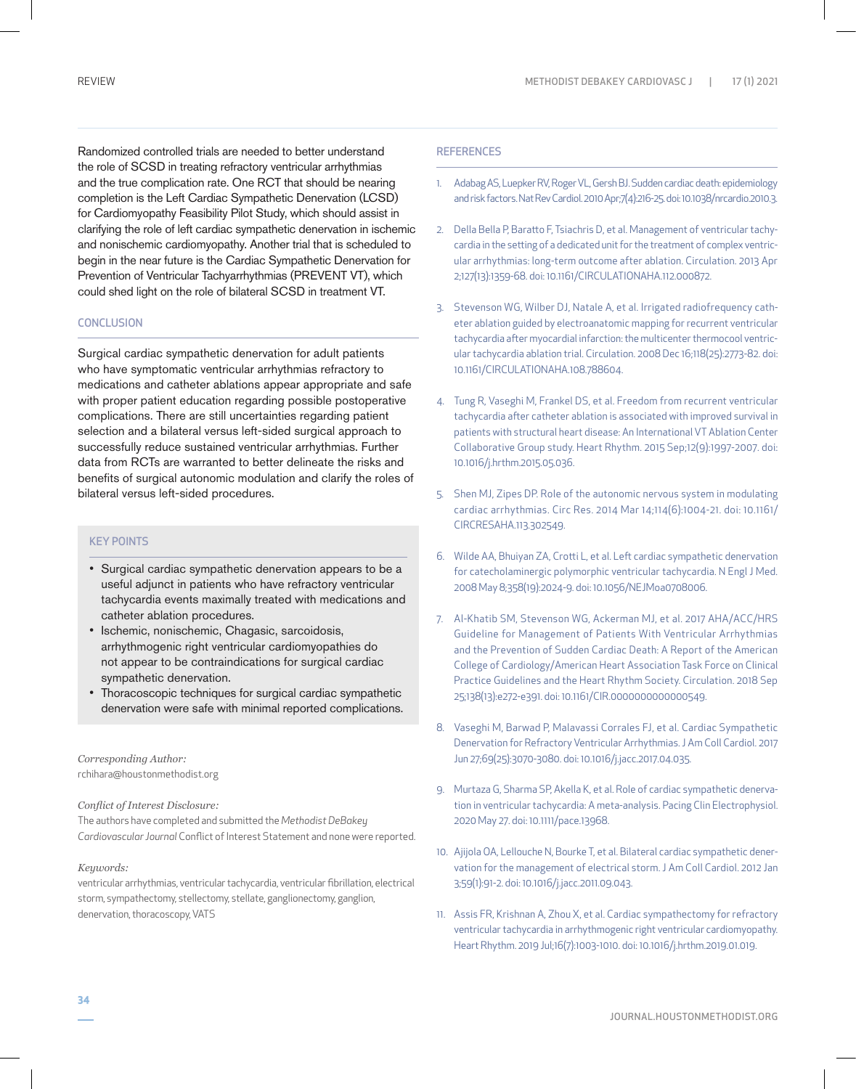Randomized controlled trials are needed to better understand the role of SCSD in treating refractory ventricular arrhythmias and the true complication rate. One RCT that should be nearing completion is the Left Cardiac Sympathetic Denervation (LCSD) for Cardiomyopathy Feasibility Pilot Study, which should assist in clarifying the role of left cardiac sympathetic denervation in ischemic and nonischemic cardiomyopathy. Another trial that is scheduled to begin in the near future is the Cardiac Sympathetic Denervation for Prevention of Ventricular Tachyarrhythmias (PREVENT VT), which could shed light on the role of bilateral SCSD in treatment VT.

# **CONCLUSION**

Surgical cardiac sympathetic denervation for adult patients who have symptomatic ventricular arrhythmias refractory to medications and catheter ablations appear appropriate and safe with proper patient education regarding possible postoperative complications. There are still uncertainties regarding patient selection and a bilateral versus left-sided surgical approach to successfully reduce sustained ventricular arrhythmias. Further data from RCTs are warranted to better delineate the risks and benefits of surgical autonomic modulation and clarify the roles of bilateral versus left-sided procedures.

# KEY POINTS

- Surgical cardiac sympathetic denervation appears to be a useful adjunct in patients who have refractory ventricular tachycardia events maximally treated with medications and catheter ablation procedures.
- Ischemic, nonischemic, Chagasic, sarcoidosis, arrhythmogenic right ventricular cardiomyopathies do not appear to be contraindications for surgical cardiac sympathetic denervation.
- Thoracoscopic techniques for surgical cardiac sympathetic denervation were safe with minimal reported complications.

*Corresponding Author:* rchihara@houstonmethodist.org

#### *Conflict of Interest Disclosure:*

The authors have completed and submitted the *Methodist DeBakey Cardiovascular Journal* Conflict of Interest Statement and none were reported.

### *Keywords:*

ventricular arrhythmias, ventricular tachycardia, ventricular fibrillation, electrical storm, sympathectomy, stellectomy, stellate, ganglionectomy, ganglion, denervation, thoracoscopy, VATS

# **REFERENCES**

- 1. Adabag AS, Luepker RV, Roger VL, Gersh BJ. Sudden cardiac death: epidemiology and risk factors. Nat Rev Cardiol. 2010 Apr;7(4):216-25. doi: 10.1038/nrcardio.2010.3.
- 2. Della Bella P, Baratto F, Tsiachris D, et al. Management of ventricular tachycardia in the setting of a dedicated unit for the treatment of complex ventricular arrhythmias: long-term outcome after ablation. Circulation. 2013 Apr 2;127(13):1359-68. doi: 10.1161/CIRCULATIONAHA.112.000872.
- 3. Stevenson WG, Wilber DJ, Natale A, et al. Irrigated radiofrequency catheter ablation guided by electroanatomic mapping for recurrent ventricular tachycardia after myocardial infarction: the multicenter thermocool ventricular tachycardia ablation trial. Circulation. 2008 Dec 16;118(25):2773-82. doi: 10.1161/CIRCULATIONAHA.108.788604.
- 4. Tung R, Vaseghi M, Frankel DS, et al. Freedom from recurrent ventricular tachycardia after catheter ablation is associated with improved survival in patients with structural heart disease: An International VT Ablation Center Collaborative Group study. Heart Rhythm. 2015 Sep;12(9):1997-2007. doi: 10.1016/j.hrthm.2015.05.036.
- 5. Shen MJ, Zipes DP. Role of the autonomic nervous system in modulating cardiac arrhythmias. Circ Res. 2014 Mar 14;114(6):1004-21. doi: 10.1161/ CIRCRESAHA.113.302549.
- 6. Wilde AA, Bhuiyan ZA, Crotti L, et al. Left cardiac sympathetic denervation for catecholaminergic polymorphic ventricular tachycardia. N Engl J Med. 2008 May 8;358(19):2024-9. doi: 10.1056/NEJMoa0708006.
- 7. Al-Khatib SM, Stevenson WG, Ackerman MJ, et al. 2017 AHA/ACC/HRS Guideline for Management of Patients With Ventricular Arrhythmias and the Prevention of Sudden Cardiac Death: A Report of the American College of Cardiology/American Heart Association Task Force on Clinical Practice Guidelines and the Heart Rhythm Society. Circulation. 2018 Sep 25;138(13):e272-e391. doi: 10.1161/CIR.0000000000000549.
- 8. Vaseghi M, Barwad P, Malavassi Corrales FJ, et al. Cardiac Sympathetic Denervation for Refractory Ventricular Arrhythmias. J Am Coll Cardiol. 2017 Jun 27;69(25):3070-3080. doi: 10.1016/j.jacc.2017.04.035.
- 9. Murtaza G, Sharma SP, Akella K, et al. Role of cardiac sympathetic denervation in ventricular tachycardia: A meta-analysis. Pacing Clin Electrophysiol. 2020 May 27. doi: 10.1111/pace.13968.
- 10. Ajijola OA, Lellouche N, Bourke T, et al. Bilateral cardiac sympathetic denervation for the management of electrical storm. J Am Coll Cardiol. 2012 Jan 3;59(1):91-2. doi: 10.1016/j.jacc.2011.09.043.
- 11. Assis FR, Krishnan A, Zhou X, et al. Cardiac sympathectomy for refractory ventricular tachycardia in arrhythmogenic right ventricular cardiomyopathy. Heart Rhythm. 2019 Jul;16(7):1003-1010. doi: 10.1016/j.hrthm.2019.01.019.